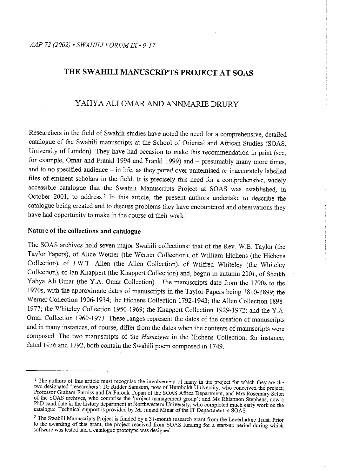# THE SWAHILI MANUSCRIPTS PROJECT AT SOAS

## YAHYA ALI OMAR AND ANNMARIE DRURYI

Researchers in the field of Swahili studies have noted the need for a comprehensive, detailed catalogue of the Swahili manuscripts at the School of Oriental and African Studies (SOAS, University of London}. They have had occasion to make this recommendation in print (see, for example, Omar and Frankl 1994 and Frankl 1999) and - presumably many more times, and to no specified audience - in life, as they pored over unitemised or inaccurately labelled files of eminent scholars in the field. It is precisely this need for a comprehensive, widely accessible catalogue that the Swahili Manuscripts Project at SOAS was established, in October 2001, to address.<sup>2</sup> In this article, the present authors undertake to describe the catalogue being created and to discuss problems they have encountered and observations they have had opportunity to make in the course of their work

## **Nature of the collections and catalogue**

The SOAS archives hold seven major Swahili collections: that of the Rev. W.E. Taylor (the Taylor Papers), of Alice Werner (the Werner Collection), of William Hichens (the Hichens Collection), of J W.T Alien (the Alien Collection), of Wilfred Whiteley (the Whiteley Collection), of Jan Knappert (the Knappert Collection) and, begun in autumn 2001, of Sheikh Yahya Ali Omar (the Y.A. Omar Collection). The manuscripts date from the 1790s to the 1970s, with the approximate dates of manuscripts in the Taylor Papers being 1810-1899; the Werner Collection 1906-1934; the Hichens Collection 1792-1943; the Alien Collection 1898- 1977; the Whiteley Collection 1950-1969; the Knappert Collection 1929-1972; and the Y.A. Omar Collection 1960-1973 These ranges represent the dates of the creation of manuscripts and in many instances, of course, differ from the dates when the contents of manuscripts were composed. The two manuscripts of the *Hamziyya* in the Hichens Collection, for instance, dated 1936 and 1792, both contain the Swahili poem composed in 1749.

<sup>&</sup>lt;sup>1</sup> The authors of this article must recognise the involvement of many in the project for which they are the two designated 'researchers': Dr Ridder Samsom, now of Humboldt University, who conceived the project;<br>Professor Graham Furniss and Dr Farouk Topan of the SOAS Africa Department, and Mrs Rosemary Seton of the SOAS archives, who comprise the 'project management group'; and Ms Rhiannon Stephens, now a<br>PhD candidate in the history department at Northwestern University, who completed much early work on the<br>catalogue Technica

<sup>&</sup>lt;sup>2</sup> The Swahili Manuscripts Project is funded by a 31-month research grant from the Leverhulme Trust. Prior to the awarding of this grant, the project received from SOAS funding for a start-up period during which software was tested and a catalogue prototype was designed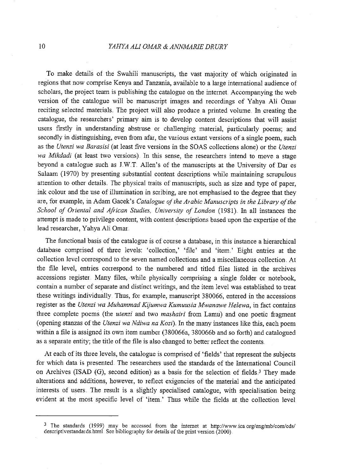## 10 *YAHYA ALl OMAR* & *ANNMARIE DRURY*

To make details of the Swahili manuscripts, the vast majority of which originated in regions that now comprise Kenya and Tanzania, available to a large international audience of scholars, the project team is publishing the catalogue on the internet Accompanying the web version of the catalogue will be manuscript images and recordings of Yahya Ali Omar reciting selected materials. The project will also produce a printed volume. In creating the catalogue, the researchers' primary aim is to develop content descriptions that will assist users firstly in understanding abstruse or challenging material, particularly poems; and secondly in distinguishing, even fiom afar, the various extant versions of a single poem, such as the *Utenzi wa Barasisi* (at least five versions in the SOAS collections alone) or the *Utenzi wa Mikdadi* (at least two versions). In this sense, the researchers intend to move a stage beyond a catalogue such as LW.T. Alien's of the manuscripts at the University of Dar es Salaam (1970) by presenting substantial content descriptions while maintaining scrupulous attention to other details. The physical traits of manuscripts, such as size and type of paper, ink colour and the use of illumination in scribing, are not emphasised to the degree that they are, for example, in Adam Gacek's *Catalogue of the Arabic Manuscripts in the Library of the School of Oriental and African Studies, Univer:sity of London* (1981}. In all instances the attempt is made to privilege content, with content descriptions based upon the expertise of the lead researcher, Yahya Ali Omar.

The functional basis of the catalogue is of course a database, in this instance a hierarchical database comprised of three levels: 'collection,' 'file' and 'item.' Eight entries at the collection level correspond to the seven named collections and a miscellaneous collection. At the file level, entries correspond to the numbered and titled files listed in the archives accessions register . Many files, while physically comprising a single folder or notebook, contain a number of separate and distinct writings, and the item level was established to treat these writings individually. Thus, for example, manuscript 3 80066, entered in the accessions register as the *Utenzi wa Muhammad Kijumwa Kumuusia Mwanawe Helewa,* in fact contains three complete poems (the *utenzi* and two *mashairi* from Lamu) and one poetic fiagment (opening stanzas of the *Utenzi wa Ndiwa na Kozi).* In the many instances like this, each poem within a file is assigned its own item number (380066a, 380066b and so forth) and catalogued as a separate entity; the title of the file is also changed to better reflect the contents.

At each of its three levels, the catalogue is comprised of 'fields' that represent the subjects for which data is presented. The researchers used the standards of the International Council on Archives (ISAD (G), second edition) as a basis for the selection of fields.<sup>3</sup> They made alterations and additions, however, to reflect exigencies of the material and the anticipated interests of users. The result is a slightly specialised catalogue, with specialisation being evident at the most specific level of 'item.' Thus while the fields at the collection level

<sup>&</sup>lt;sup>3</sup> The standards (1999) may be accessed from the internet at http://www.ica.org/eng/mb/com/cds/ descriptivestandards.html. See bibliography for details of the print version (2000)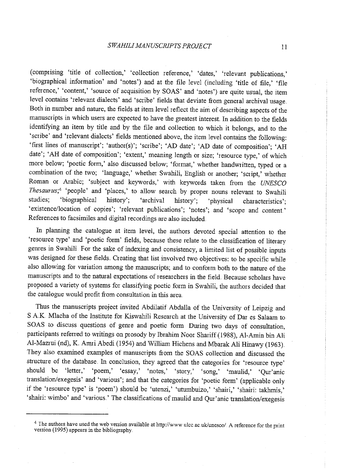(comprising 'title of collection,' 'collection reference,' 'dates,' 'relevant publications,' 'biographical information' and 'notes') and at the file level (including 'title of file,' 'file reference,' 'content,' 'source of acquisition by SOAS' and 'notes') are quite usual, the item level contains 'relevant dialects' and 'scribe' fields that deviate from general archival usage. Both in number and nature, the fields at item level reflect the aim of describing aspects of the manuscripts in which users are expected to have the greatest interest In addition to the fields identifying an item by title and by the file and collection to which it belongs, and to the 'scribe' and 'relevant dialects' fields mentioned above, the item level contains the following: 'first lines of manuscript'; 'author(s)'; 'scribe'; 'AD date'; 'AD date of composition'; 'AH date'; 'AH date of composition'; 'extent,' meaning length or size; 'resource type,' of which more below; 'poetic form,' also discussed below; 'format,' whether handwritten, typed or a combination of the two; 'language,' whether Swahili, English or another; 'script,' whether Roman or Arabic; 'subject and keywords,' with keywords taken from the *UNESCO Thesaurus;*4 'people' and 'places,' to allow search by proper nouns relevant to Swahili studies; 'biographical history'; 'archival history'; 'physical characteristics'; 'existence/location of copies'; 'relevant publications'; 'notes'; and 'scope and content.' References to facsimiles and digital recordings are also included.

In planning the catalogue at item level, the authors devoted special attention to the 'resource type' and 'poetic form' fields, because these relate to the classification of literary genres in Swahili For the sake of indexing and consistency, a limited list of possible inputs was designed for these fields. Creating that list involved two objectives: to be specific while also allowing for variation among the manuscripts; and to conform both to the nature of the manuscripts and to the natural expectations of researchers in the field .. Because scholars have proposed a variety of systems for classifying poetic form in Swahili, the authors decided that the catalogue would profit from consultation in this area.

Thus the manuscripts project invited Abdilatif Abdalla of the University of Leipzig and <sup>S</sup>AK. Mlacha of the Institute for Kiswahili Research at the University of Dar es Salaam to SOAS to discuss questions of genre and poetic form During two days of consultation, participants referred to writings on prosody by Ibrahim Noor Shariff (1988), Al-Amin bin Ali Al-Mazrui (nd), K. Amri Abedi (1954) and William Hichens and Mbarak Ali Hinawy (1963). They also examined examples of manuscripts from the SOAS collection and discussed the structure of the database. In conclusion, they agreed that the categories for 'resource type' should be 'letter,' 'poem,' 'essay,' 'notes,' 'story,' 'song,' 'maulid,' 'Qur'anic translation/exegesis' and 'various'; and that the categories for 'poetic form' (applicable only if the 'resource type' is 'poem') should be 'utenzi,' 'utumbuizo,' 'shairi,' 'shairi: takhmis,' 'shairi: wimbo' and 'various.' The classifications of maulid and Qur'anic translation/exegesis

<sup>&</sup>lt;sup>4</sup> The authors have used the web version available at http://www.ulcc.ac.uk/unesco/. A reference for the print version (1995) appears in the bibliography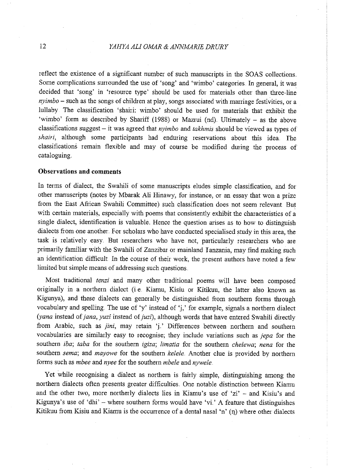reflect the existence of a significant number of such manuscripts in the SOAS collections. Some complications surrounded the use of 'song' and 'wimbo' categories. In general, it was decided that 'song' in 'resource type' should be used for materials other than three-line *nyimbo-* such as the songs of children at play, songs associated with marriage festivities, or a lullaby. The classification 'shairi: wimbo' should be used for materials that exhibit the 'wimbo' form as described by Shariff (1988) or Mazrui (nd). Ultimately  $-$  as the above classifications suggest - it was agreed that *nyimbo* and *takhmis* should be viewed as types of *shairi,* although some participants had enduring reservations about this idea. The classifications remain flexible and may of course be modified during the process of cataloguing.

### **Observations and comments**

In terms of dialect, the Swahili of some manuscripts eludes simple classification, and for other manuscripts (notes by Mbarak Ali Hinawy, for instance, or an essay that won a prize from the East African Swahili Committee) such classification does not seem relevant But with certain materials, especially with poems that consistently exhibit the characteristics of <sup>a</sup> single dialect, identification is valuable. Hence the question arises as to how to distinguish dialects from one another. For scholars who have conducted specialised study in this area, the task is relatively easy. But researchers who have not, particularly researchers who are primarily familiar· with the Swahili of Zanzibar or mainland I anzania, may find making such an identification difficult In the course of their work, the present authors have noted a few limited but simple means of addressing such questions ..

Most traditional *tenzi* and many other traditional poems will have been composed originally in a northern dialect (i e.. Kiamu, Kisiu or Kitikuu, the latter also known as Kigunya), and these dialects can generally be distinguished from southern forms through vocabulary and spelling. The use of 'y' instead of 'j,' for example, signals a northern dialect (yana instead of jana, yuzi instead of juzi), although words that have entered Swahili directly from Arabic, such as *jini*, may retain 'j.' Differences between northern and southern vocabularies are similarly easy to recognise; they include variations such as *jepa* for the southern *iba; taba* for the southern *igiza; limatia* for the southern *chelewa; nena* for the southern *sema*; and *mayowe* for the southern *kelele*. Another clue is provided by northern forms such as *mbee* and *nyee* for the southern *mbele* and *nywele.* 

Yet while recognising a dialect as northern is fairly simple, distinguishing among the northern dialects often presents greater difficulties. One notable distinction between Kiamu and the other two, more northerly dialects lies in Kiamu's use of 'zi' - and Kisiu's and Kigunya's use of 'dhi' - where southern forms would have 'vi.' A feature that distinguishes Kitikuu from Kisiu and Kiamu is the occurrence of a dental nasal 'n'  $(n)$  where other dialects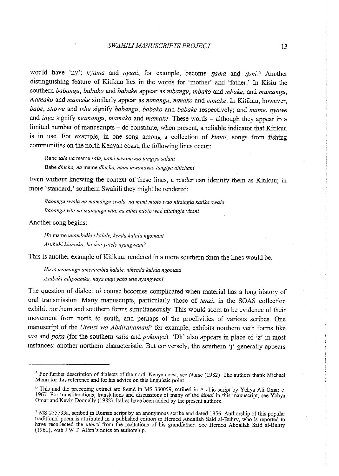would have 'ny'; *nyama* and *nyuni*, for example, become *nama* and *noni*<sup>5</sup> Another distinguishing feature of Kitikuu lies in the words for 'mother' and 'father' In Kisiu the southern *babangu, babako* and *babake* appear as *mbangu, mbako* and *mbake;* and *mamangu, mamako* and *mamake* similarly appear as *mmangu, mmako* and *mmake ..* In Kitikuu, however, *babe, showe* and *ishe* signify *babangu, babako* and *babake* respectively; and *mame, nyawe*  and *inya* signify *mamangu, mamako* and *mamake* These words – although they appear in a limited number of manuscripts  $-$  do constitute, when present, a reliable indicator that Kitikuu is in use.. For example, in one song among a collection of *kimai,* songs from fishing communities on the north Kenyan coast, the following lines occur:

**Babe** *sala na* **mame** *sala, nami mwanavao tangiya sa/ani*  **Babe** *dhicha, na* **mame** *dhicha, nami mwanavao tangiya dhichani* 

Even without knowing the context of these lines, a reader can identify them as Kitikuu; in more 'standard,' southern Swahili they might be rendered:

*Babangu swala na mamangu swala, na mimi mtoto wao nitaingia katika swala Babangu vita na mamangu vita, na mimi mtoto wao nitaingia vitani* 

Another song begins:

*Ho* mame *unambzdhie ka/ale, kenda kala/a ngomani Asubuhi kiamuka, ha mai yatele nyangwani<sup>6</sup>*

This is another example of Kitikuu; rendered in a more southern form the lines would be:

*Huyo mamangu amenambia kalale, nikenda kulala ngomani Asubuhz nilipoamka, haya maji yako te/e nyangwani* 

The question of dialect of course becomes complicated when material has a long history of oral transmission Many manuscripts, particularly those of *tenzi,* in the SOAS collection exhibit northern and southern forms simultaneously. This would seem to be evidence of their movement from north to south, and perhaps of the proclivities of various scribes.. One manuscript of the *Utenzi wa Abdirahamani*<sup>7</sup> for example, exhibits northern verb forms like *saa* and *poka* (for the southern *salia* and *pokonya)* 'Dh' also appears in place of 'z' in most instances: another northern characteristic. But conversely, the southern 'j' generally appears

<sup>&</sup>lt;sup>5</sup> For further description of dialects of the north Kenya coast, see Nurse (1982). The authors thank Michael Mann for this reference and for his advice on this linguistic point.

<sup>&</sup>lt;sup>6</sup> This and the preceding extract are found in MS 380059, scribed in Arabic script by Yahya Ali Omar c. 1967 For transliterations, translations and discussions of many of the *kimai* in this manuscript, see Yahya Omar and Kevin Donnelly (1982). Italics have been added by the present authors.

<sup>&</sup>lt;sup>7</sup> MS 255733a, scribed in Roman script by an anonymous scribe and dated 1956. Authorship of this popular traditional poem is attributed in a published edition to Hemed Abdallah Said al-Buhry, who is reported to have recollected the *utenzi* from the recitations of his grandfather. See Hemed Abdallah Said al-Buhry (1961), with T W.I Alien's notes on authorship.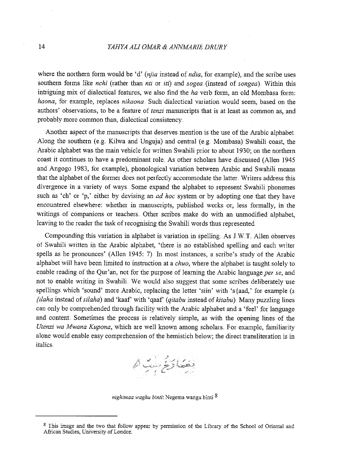### 14 *YAHYA ALl OMAR* & *ANNMARIE DRURY*

where the northern form would be 'd' *(njia* instead of *ndia,* for example), and the scribe uses southern forms like *nchi* (rather than *nti* or *iti)* and *sogea* (instead of *songea).* Within this intriguing mix of dialectical features, we also find the *ha* verb form, an old Mombasa form: *haona*, for example, replaces *nikaona*. Such dialectical variation would seem, based on the authors' observations, to be a feature of *tenzi* manuscripts that is at least as common as, and probably more common than, dialectical consistency.

Another aspect of the manuscripts that deserves mention is the use of the Arabic alphabet. Along the southern (e.g. Kilwa and Unguja) and central (e.g. Mombasa) Swahili coast, the Arabic alphabet was the main vehicle for written Swahili prior to about 1930; on the northern coast it continues to have a predominant role. As other scholars have discussed (Allen 1945) and Angogo 1983, for example), phonological variation between Arabic and Swahili means that the alphabet of the former does not perfectly accommodate the latter .. Writers address this divergence in a variety of ways. Some expand the alphabet to represent Swahili phonemes such as 'eh' or 'p,' either by devising an *ad hoc* system or by adopting one that they have encountered elsewhere: whether in manuscripts, published works or, less formally, in the writings of companions or teachers. Other scribes make do with an unmodified alphabet, leaving to the reader the task of recognising the Swahili words thus represented

Compounding this variation in alphabet is variation in spelling. As J.W.T. Allen observes of Swahili written in the Arabic alphabet, 'there is no established spelling and each writer spells as he pronounces' (Allen 1945: 7). In most instances, a scribe's study of the Arabic alphabet will have been limited to instruction at a *chuo,* where the alphabet is taught solely to enable reading of the Qur'an, not for the purpose of learning the Arabic language *per se*, and not to enable writing in Swahili. We would also suggest that some scribes deliberately use spellings which 'sound' more Arabic, replacing the letter 'siin' with 's{aad,' for example *(s {ilaha* instead of *silaha)* and 'kaaf' with 'qaaf' ( *qitabu* instead of *kitabu)* Many puzzling lines can only be comprehended through facility with the Arabic alphabet and a 'feel' for language and content. Sometimes the process is relatively simple, as with the opening lines of the *Utenzi wa Mwana Kupona,* which are well known among scholars .. For example, familiarity alone would enable easy comprehension of the hemistich below; the direct transliteration is in italics.



*nighimaa waghu binti:* Negema wangu binti 8

<sup>&</sup>lt;sup>8</sup> I his image and the two that follow appear by permission of the Library of the School of Oriental and African Studies, University of London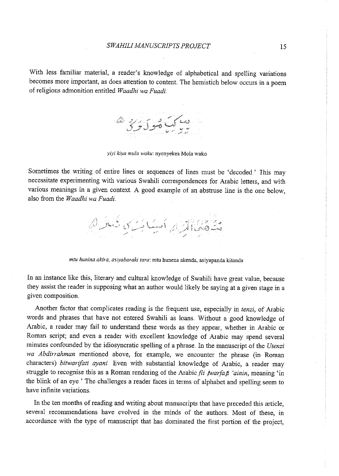With less familiar material, a reader's knowledge of alphabetical and spelling variations becomes more important, as does attention to content. The hemistich below occurs in a poem of religious admonition entitled *Waadhi wa Fuadi.* 



*yiyi kiya mu/a waku:* nyenyekea Mola wako

Sometimes the writing of entire lines or sequences of lines must be 'decoded ' This may necessitate experimenting with various Swahili correspondences for Arabic letters, and with various meanings in a given context A good example of an abstruse line is the one below, also from the *Waadhi wa Fuadi.* 

l l

*mtu hunina akira, asiyabaraki tara:* mtu hunena akenda, asiyapanda kitanda

In an instance like this, literary and cultural knowledge of Swahili have great value, because they assist the reader in supposing what an author would likely be saying at a given stage in a given composition.

Another factor that complicates reading is the frequent use, especially in *tenzi,* of Arabic words and phrases that have not entered Swahili as loans.. Without a good knowledge of Arabic, a reader may fail to understand these words as they appear, whether in Arabic or Roman script; and even a reader with excellent knowledge of Arabic may spend several minutes confounded by the idiosyncratic spelling of a phrase .. In the manuscript of the *Utenzi wa Abdirrahman* mentioned above, for example, we encounter the phrase (in Roman characters) *bitwarifati ayani* Even with substantial knowledge of Arabic, a reader may struggle to recognise this as a Roman rendering of the Arabic *fit twarfat 'ainin*, meaning 'in the blink of an eye ' The challenges a reader faces in terms of alphabet and spelling seem to have infinite variations.

In the ten months of reading and writing about manuscripts that have preceded this article, several recommendations have evolved in the minds of the authors.. Most of these, in accordance with the type of manuscript that has dominated the first portion of the project,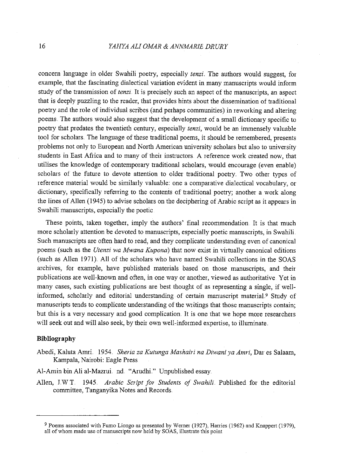concern language in older Swahili poetry, especially *tenzi.* The authors would suggest, for example, that the fascinating dialectical variation evident in many manuscripts would inform study of the transmission of *tenzi.* It is precisely such an aspect of the manuscripts, an aspect that is deeply puzzling to the reader, that provides hints about the dissemination of traditional poetry and the role of individual scribes (and perhaps communities) in reworking and altering poems The authors would also suggest that the development of a small dictionary specific to poetry that predates the twentieth century, especially *tenzi,* would be an immensely valuable tool for scholars. The language of these traditional poems, it should be remembered, presents problems not only to European and North American university scholars but also to university students in East Africa and to many of their instructors. A reference work created now, that utilises the knowledge of contemporary traditional scholars, would encourage (even enable) scholars of the future to devote attention to older traditional poetry. Two other types of reference material would be similarly valuable: one a comparative dialectical vocabulary, or dictionary, specifically refening to the contents of traditional poetry; another a work along the lines of Alien (1945) to advise scholars on the deciphering of Arabic script as it appears in Swahili manuscripts, especially the poetic

These points, taken together, imply the authors' final recommendation It is that much more scholarly attention be devoted to manuscripts, especially poetic manuscripts, in Swahili. Such manuscripts are often hard to read, and they complicate understanding even of canonical poems (such as the *Utenzi wa Mwana Kupona)* that now exist in virtually canonical editions (such as Alien 1971}. All of the scholars who have named Swahili collections in the SOAS archives, for example, have published materials based on those manuscripts, and their publications are well-known and often, in one way or another, viewed as authoritative Yet in many cases, such existing publications are best thought of as representing a single, if wellinformed, scholarly and editorial understanding of certain manuscript material.<sup>9</sup> Study of manuscripts tends to complicate understanding of the writings that those manuscripts contain; but this is a very necessary and good complication. It is one that we hope more researchers will seek out and will also seek, by their own well-informed expertise, to illuminate.

## **Bibliography**

- Abedi, Kaluta Amri 1954 .. *Sheria za Kutunga Mashairi na Diwaniya Amri,* Dar es Salaam, Kampala, Nairobi: Eagle Press
- Al-Amin bin Ali al-Mazrui nd. "Arudhi." Unpublished essay.
- Alien, LWT. 1945.. *Arabic Script for Students of Swahili* Published for the editorial committee, Tanganyika Notes and Records ..

<sup>9</sup> Poems associated with Fumo Liongo as presented by Wemer (1927), Harries (1962) and Knappert (1979), all of whom made use of manuscripts now held by SOAS, illustrate this point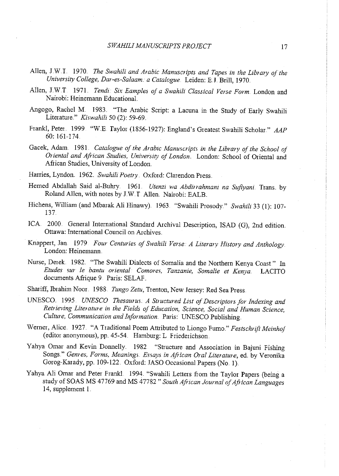- Alien, J.W.I. 1970. *The Swahili and Arabic Manuscripts and Tapes in the Library of the University College, Dar-es-Salaam .. a Catalogue ..* Leiden: E.L Brill, 1970 ..
- Allen, J.W.T. 1971. *Tendi: Six Eamples of a Swahili Classical Verse Form.* London and Nairobi: Heinemann EducationaL
- Angogo, Rachel M. 1983.. "The Arabic Script: a Lacuna in the Study of Early Swahili Literature." *Kiswahili* 50 (2): 59-69.
- Frankl, Peter. 1999. "W.E. Taylor (1856-1927): England's Greatest Swahili Scholar." AAP 60: 161-174
- Gacek, Adam. 1981. Catalogue of the Arabic Manuscripts in the Library of the School of *Oriental and African Studies, University of London.* London: School of Oriental and African Studies, University of London.
- Harries, Lyndon. 1962. *Swahili Poetry.* Oxford: Clarendon Press.
- Hemed Abdallah Said al-Buhry 1961. *Utenzi wa Abdirrahmani na Sufiyani* Trans by Roland Allen, with notes by J.W. *T* Alien. Nairobi: EALB..
- Hichens, William (and Mbarak Ali Hinawy). 1963. "Swahili Prosody." *Swahili* 33 (1): 107-137.
- ICA. 2000. General International Standard Archival Description, ISAD (G), 2nd edition. Ottawa: International Council on Archives.
- Knappert, Jan. 1979 *Four Centuries of Swahili Verse: A Literary History and Anthology.* London: Heinemann.
- Nurse, Derek. 1982. "The Swahili Dialects of Somalia and the Northern Kenya Coast." In *Etudes sur le bantu oriental. Comores, Tanzanie, Somalie et Kenya..* LACITO documents Afrique 9 Paris: SELAF.
- Shariff, Ibrahim Noor. 1988 *Tunga Zetu,* Trenton, New Jersey: Red Sea Press.
- UNESCO 1995 *UNESCO Thesaurus .. A Structured List ofDescriptors for Indexing and Retrieving Literature in the Fields of Education, Science, Social and Human Science, Culture, Communication and Information.* Paris: UNESCO Publishing.
- Werner, Alice. 1927. "A Traditional Poem Attributed to Liongo Fumo." Festschrift Meinhof (editor anonymous), pp. 45-54. Hamburg: L Friederichson.
- Yahya Omar and Kevin Donnelly. 1982 "Structure and Association in Bajuni Fishing Songs .. " *Genres, Forms, Meanings .. Essays in African Oral Literature,* ed. by Veronika Gorog-Karady, pp. 109-122. Oxford: JASO Occasional Papers (No. 1).
- Yahya Ali Omar and Peter Frankl 1994. "Swahili Letters from the Taylor Papers (being a study of SOAS MS 47769 and MS 47782 " South African Journal of African Languages 14, supplement I